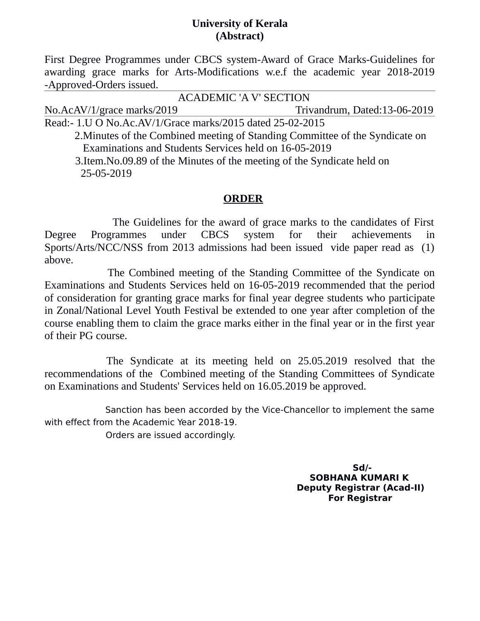## **University of Kerala (Abstract)**

First Degree Programmes under CBCS system-Award of Grace Marks-Guidelines for awarding grace marks for Arts-Modifications w.e.f the academic year 2018-2019 -Approved-Orders issued.

 ACADEMIC 'A V' SECTION No.AcAV/1/grace marks/2019 Trivandrum, Dated:13-06-2019 Read:- 1.U O No.Ac.AV/1/Grace marks/2015 dated 25-02-2015

 2.Minutes of the Combined meeting of Standing Committee of the Syndicate on Examinations and Students Services held on 16-05-2019

 3.Item.No.09.89 of the Minutes of the meeting of the Syndicate held on 25-05-2019

## **ORDER**

 The Guidelines for the award of grace marks to the candidates of First Degree Programmes under CBCS system for their achievements in Sports/Arts/NCC/NSS from 2013 admissions had been issued vide paper read as (1) above.

 The Combined meeting of the Standing Committee of the Syndicate on Examinations and Students Services held on 16-05-2019 recommended that the period of consideration for granting grace marks for final year degree students who participate in Zonal/National Level Youth Festival be extended to one year after completion of the course enabling them to claim the grace marks either in the final year or in the first year of their PG course.

 The Syndicate at its meeting held on 25.05.2019 resolved that the recommendations of the Combined meeting of the Standing Committees of Syndicate on Examinations and Students' Services held on 16.05.2019 be approved.

 Sanction has been accorded by the Vice-Chancellor to implement the same with effect from the Academic Year 2018-19.

Orders are issued accordingly.

 **Sd/- SOBHANA KUMARI K Deputy Registrar (Acad-II) For Registrar**